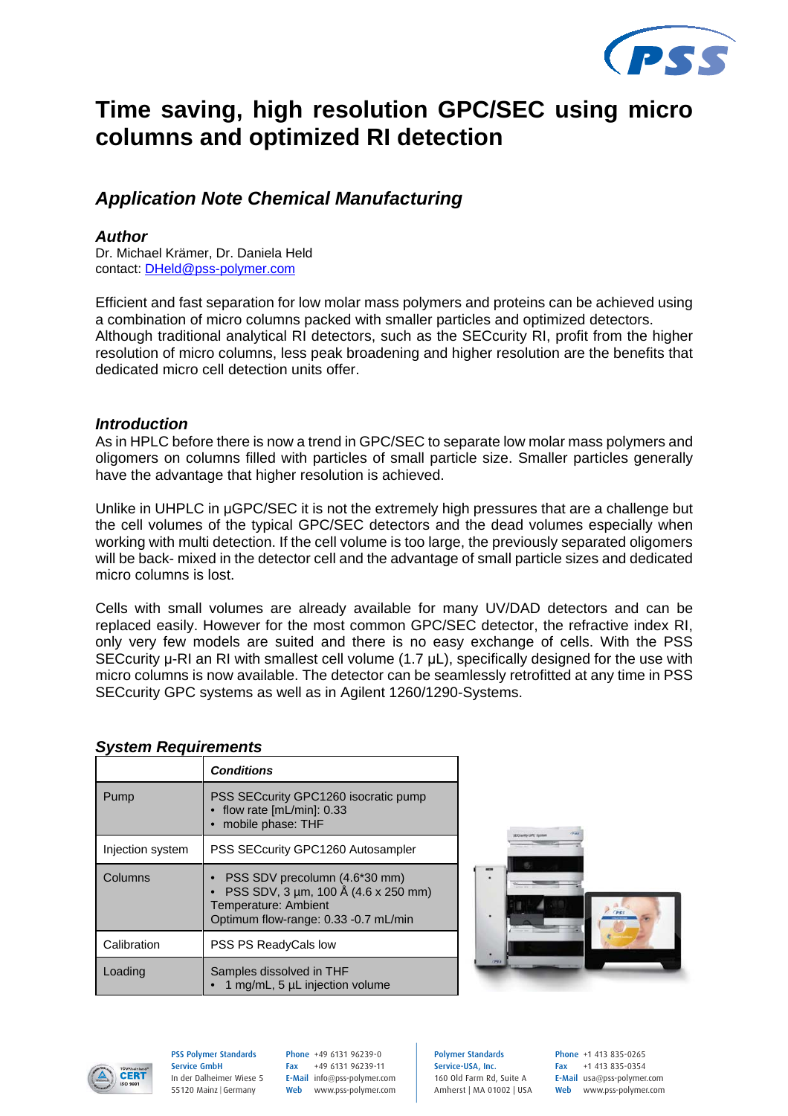

# **Time saving, high resolution GPC/SEC using micro columns and optimized RI detection**

# *Application Note Chemical Manufacturing*

#### *Author*

Dr. Michael Krämer, Dr. Daniela Held contact: DHeld@pss-polymer.com

Efficient and fast separation for low molar mass polymers and proteins can be achieved using a combination of micro columns packed with smaller particles and optimized detectors. Although traditional analytical RI detectors, such as the SECcurity RI, profit from the higher resolution of micro columns, less peak broadening and higher resolution are the benefits that dedicated micro cell detection units offer.

#### *Introduction*

As in HPLC before there is now a trend in GPC/SEC to separate low molar mass polymers and oligomers on columns filled with particles of small particle size. Smaller particles generally have the advantage that higher resolution is achieved.

Unlike in UHPLC in  $\mu$ GPC/SEC it is not the extremely high pressures that are a challenge but the cell volumes of the typical GPC/SEC detectors and the dead volumes especially when working with multi detection. If the cell volume is too large, the previously separated oligomers will be back- mixed in the detector cell and the advantage of small particle sizes and dedicated micro columns is lost.

Cells with small volumes are already available for many UV/DAD detectors and can be replaced easily. However for the most common GPC/SEC detector, the refractive index RI, only very few models are suited and there is no easy exchange of cells. With the PSS SECcurity  $\mu$ -RI an RI with smallest cell volume (1.7  $\mu$ L), specifically designed for the use with micro columns is now available. The detector can be seamlessly retrofitted at any time in PSS SECcurity GPC systems as well as in Agilent 1260/1290-Systems.

### *System Requirements*

|                  | <b>Conditions</b>                                                                                                                    |  |
|------------------|--------------------------------------------------------------------------------------------------------------------------------------|--|
| Pump             | PSS SECcurity GPC1260 isocratic pump<br>$\bullet$ flow rate [mL/min]: 0.33<br>mobile phase: THF                                      |  |
| Injection system | PSS SECcurity GPC1260 Autosampler                                                                                                    |  |
| Columns          | PSS SDV precolumn (4.6*30 mm)<br>PSS SDV, 3 µm, 100 Å (4.6 x 250 mm)<br>Temperature: Ambient<br>Optimum flow-range: 0.33 -0.7 mL/min |  |
| Calibration      | PSS PS ReadyCals low                                                                                                                 |  |
| Loading          | Samples dissolved in THF<br>1 mg/mL, 5 µL injection volume                                                                           |  |





PSS Polymer Standards Service GmbH In der Dalheimer Wiese 5 55120 Mainz |Germany

Phone +49 6131 96239-0 Fax +49 6131 96239-11 E-Mail info@pss-polymer.com Web www.pss-polymer.com Polymer Standards Service-USA, Inc. 160 Old Farm Rd, Suite A Amherst | MA 01002 | USA Phone +1 413 835-0265 Fax +1 413 835-0354 E-Mail usa@pss-polymer.com Web www.pss-polymer.com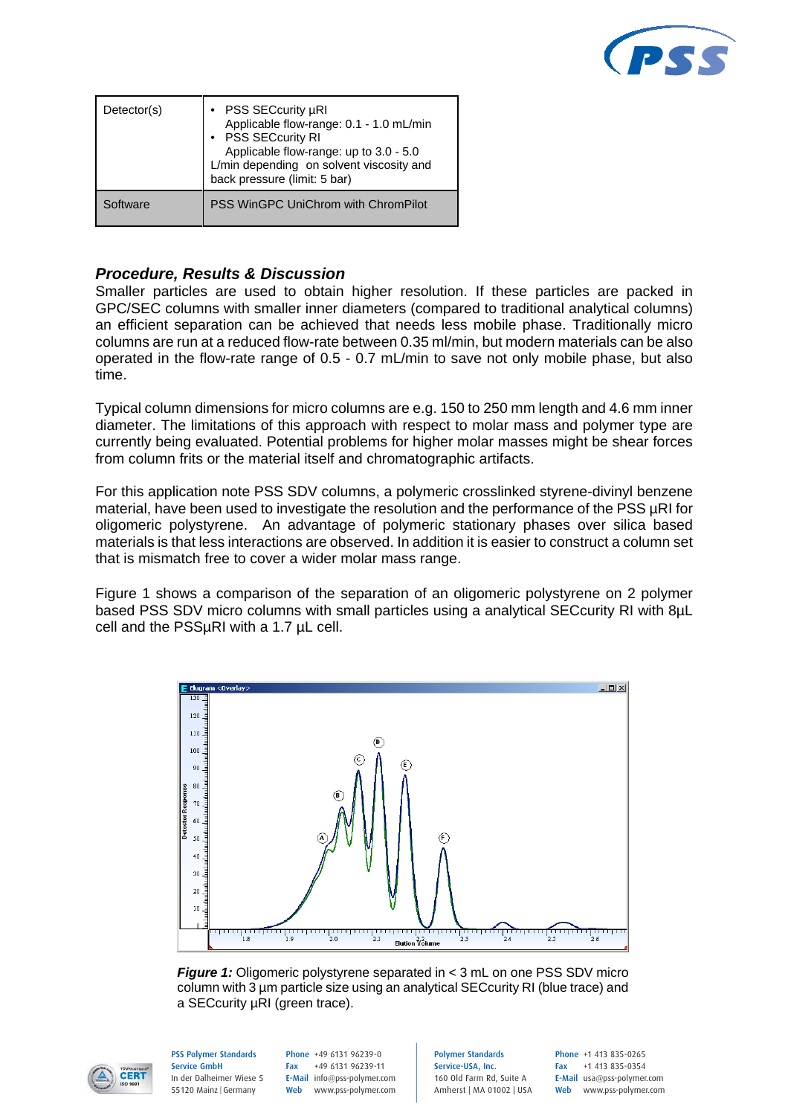

| Detector(s) | PSS SECcurity µRI<br>Applicable flow-range: 0.1 - 1.0 mL/min<br>• PSS SECcurity RI<br>Applicable flow-range: up to 3.0 - 5.0<br>L/min depending on solvent viscosity and<br>back pressure (limit: 5 bar) |
|-------------|----------------------------------------------------------------------------------------------------------------------------------------------------------------------------------------------------------|
| Software    | PSS WinGPC UniChrom with ChromPilot                                                                                                                                                                      |

## *Procedure, Results & Discussion*

Smaller particles are used to obtain higher resolution. If these particles are packed in GPC/SEC columns with smaller inner diameters (compared to traditional analytical columns) an efficient separation can be achieved that needs less mobile phase. Traditionally micro columns are run at a reduced flow-rate between 0.35 ml/min, but modern materials can be also operated in the flow-rate range of 0.5 - 0.7 mL/min to save not only mobile phase, but also time.

Typical column dimensions for micro columns are e.g. 150 to 250 mm length and 4.6 mm inner diameter. The limitations of this approach with respect to molar mass and polymer type are currently being evaluated. Potential problems for higher molar masses might be shear forces from column frits or the material itself and chromatographic artifacts.

For this application note PSS SDV columns, a polymeric crosslinked styrene-divinyl benzene material, have been used to investigate the resolution and the performance of the PSS µRI for oligomeric polystyrene. An advantage of polymeric stationary phases over silica based materials is that less interactions are observed. In addition it is easier to construct a column set that is mismatch free to cover a wider molar mass range.

Figure 1 shows a comparison of the separation of an oligomeric polystyrene on 2 polymer based PSS SDV micro columns with small particles using a analytical SECcurity RI with 8µL cell and the PSSµRI with a 1.7 µL cell.



*Figure 1:* Oligomeric polystyrene separated in < 3 mL on one PSS SDV micro column with 3 µm particle size using an analytical SECcurity RI (blue trace) and a SECcurity µRI (green trace).



PSS Polymer Standards Service GmbH In der Dalheimer Wiese 5 55120 Mainz |Germany

Phone +49 6131 96239-0 Fax +49 6131 96239-11 E-Mail info@pss-polymer.com Web www.pss-polymer.com Polymer Standards Service-USA, Inc. 160 Old Farm Rd, Suite A Amherst | MA 01002 | USA Phone +1 413 835-0265 Fax +1 413 835-0354 E-Mail usa@pss-polymer.com Web www.pss-polymer.com